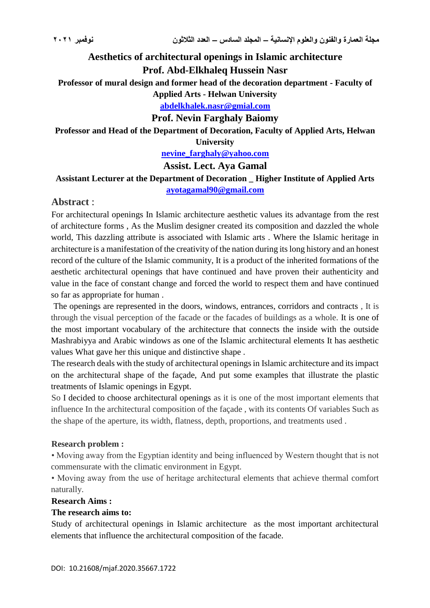# **Aesthetics of architectural openings in Islamic architecture Prof. Abd-Elkhaleq Hussein Nasr**

**Professor of mural design and former head of the decoration department - Faculty of** 

**Applied Arts - Helwan University**

**[abdelkhalek.nasr@gmial.com](mailto:abdelkhalek.nasr@gmial.com)**

**Prof. Nevin Farghaly Baiomy**

**Professor and Head of the Department of Decoration, Faculty of Applied Arts, Helwan** 

**University**

**[nevine\\_farghaly@yahoo.com](mailto:nevine_farghaly@yahoo.com)**

**Assist. Lect. Aya Gamal**

# **Assistant Lecturer at the Department of Decoration \_ Higher Institute of Applied Arts**

**[ayotagamal90@gmail.com](mailto:ayotagamal90@gmail.com)**

# **Abstract** :

For architectural openings In Islamic architecture aesthetic values its advantage from the rest of architecture forms , As the Muslim designer created its composition and dazzled the whole world, This dazzling attribute is associated with Islamic arts . Where the Islamic heritage in architecture is a manifestation of the creativity of the nation during its long history and an honest record of the culture of the Islamic community, It is a product of the inherited formations of the aesthetic architectural openings that have continued and have proven their authenticity and value in the face of constant change and forced the world to respect them and have continued so far as appropriate for human .

The openings are represented in the doors, windows, entrances, corridors and contracts , It is through the visual perception of the facade or the facades of buildings as a whole. It is one of the most important vocabulary of the architecture that connects the inside with the outside Mashrabiyya and Arabic windows as one of the Islamic architectural elements It has aesthetic values What gave her this unique and distinctive shape .

The research deals with the study of architectural openings in Islamic architecture and its impact on the architectural shape of the façade, And put some examples that illustrate the plastic treatments of Islamic openings in Egypt.

So I decided to choose architectural openings as it is one of the most important elements that influence In the architectural composition of the façade , with its contents Of variables Such as the shape of the aperture, its width, flatness, depth, proportions, and treatments used .

#### **Research problem :**

• Moving away from the Egyptian identity and being influenced by Western thought that is not commensurate with the climatic environment in Egypt.

• Moving away from the use of heritage architectural elements that achieve thermal comfort naturally.

### **Research Aims :**

### **The research aims to:**

Study of architectural openings in Islamic architecture as the most important architectural elements that influence the architectural composition of the facade.